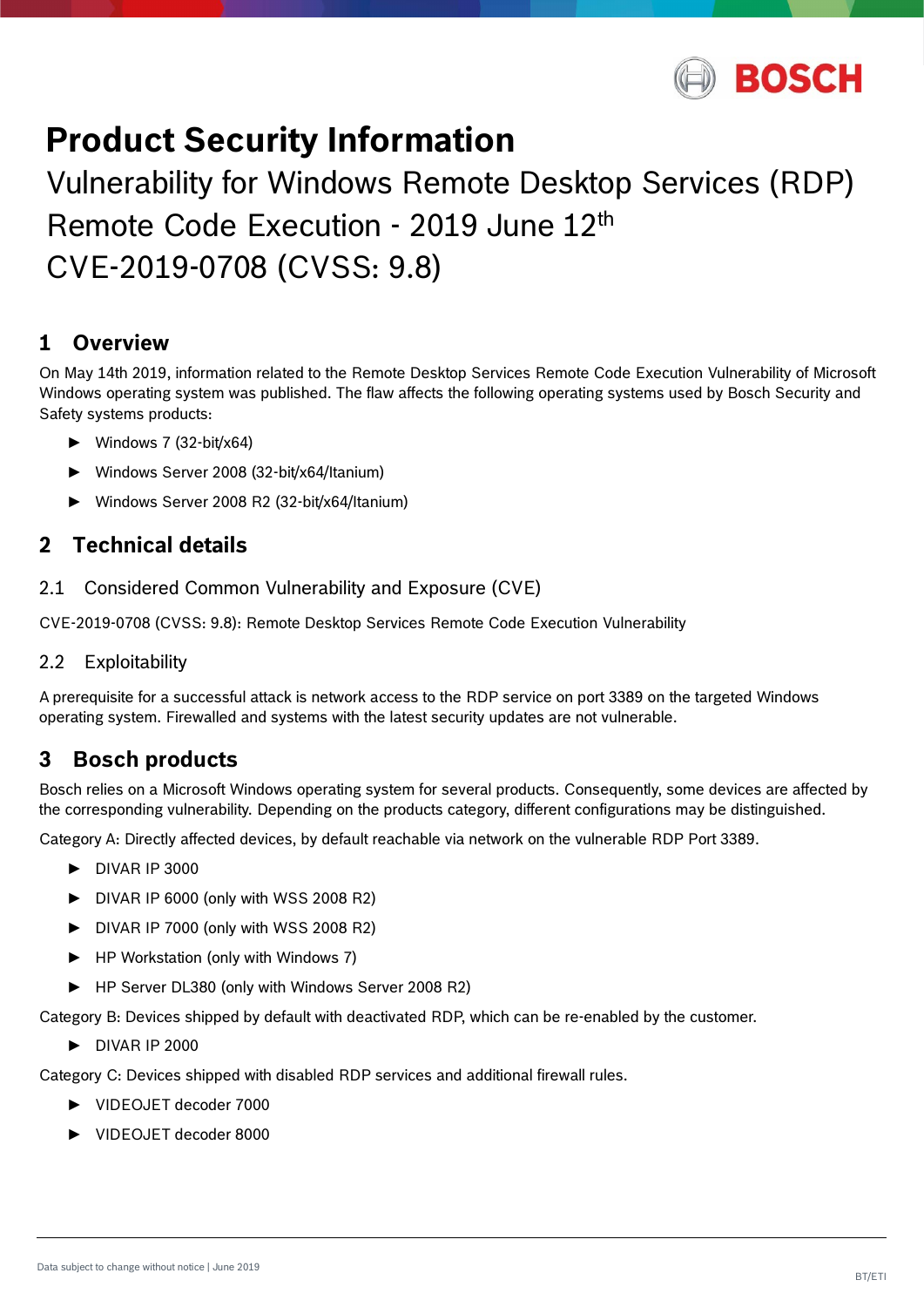

# **Product Security Information**

Vulnerability for Windows Remote Desktop Services (RDP) Remote Code Execution - 2019 June 12th CVE-2019-0708 (CVSS: 9.8)

## **1 Overview**

On May 14th 2019, information related to the Remote Desktop Services Remote Code Execution Vulnerability of Microsoft Windows operating system was published. The flaw affects the following operating systems used by Bosch Security and Safety systems products:

- ► Windows 7 (32-bit/x64)
- ► Windows Server 2008 (32-bit/x64/Itanium)
- ► Windows Server 2008 R2 (32-bit/x64/Itanium)

## **2 Technical details**

2.1 Considered Common Vulnerability and Exposure (CVE)

CVE-2019-0708 (CVSS: 9.8): Remote Desktop Services Remote Code Execution Vulnerability

#### 2.2 Exploitability

A prerequisite for a successful attack is network access to the RDP service on port 3389 on the targeted Windows operating system. Firewalled and systems with the latest security updates are not vulnerable.

## **3 Bosch products**

Bosch relies on a Microsoft Windows operating system for several products. Consequently, some devices are affected by the corresponding vulnerability. Depending on the products category, different configurations may be distinguished.

Category A: Directly affected devices, by default reachable via network on the vulnerable RDP Port 3389.

- ► DIVAR IP 3000
- ► DIVAR IP 6000 (only with WSS 2008 R2)
- ► DIVAR IP 7000 (only with WSS 2008 R2)
- ► HP Workstation (only with Windows 7)
- ► HP Server DL380 (only with Windows Server 2008 R2)

Category B: Devices shipped by default with deactivated RDP, which can be re-enabled by the customer.

► DIVAR IP 2000

Category C: Devices shipped with disabled RDP services and additional firewall rules.

- ► VIDEOJET decoder 7000
- ► VIDEOJET decoder 8000